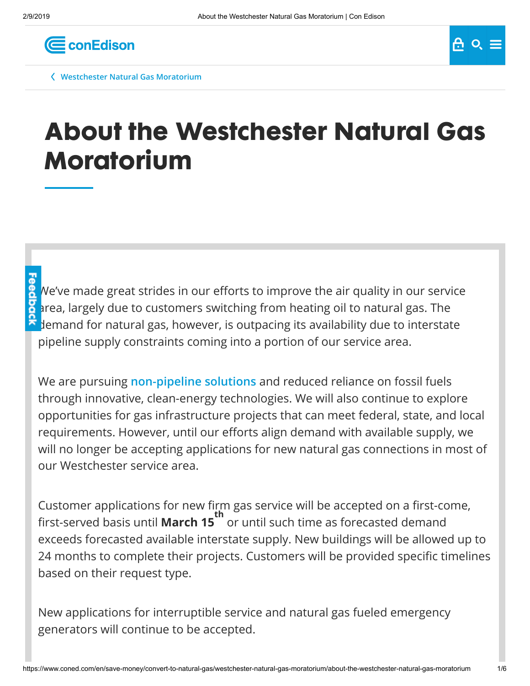

**[Westchester Natural Gas Moratorium](https://www.coned.com/en/save-money/convert-to-natural-gas/westchester-natural-gas-moratorium)**

# **About the Westchester Natural Gas Moratorium**

We've made great strides in our efforts to improve the air quality in our service area, largely due to customers switching from heating oil to natural gas. The demand for natural gas, however, is outpacing its availability due to interstate pipeline supply constraints coming into a portion of our service area.

We are pursuing **[non-pipeline solutions](https://www.coned.com/en/business-partners/business-opportunities/non-pipeline-solutions)** and reduced reliance on fossil fuels through innovative, clean-energy technologies. We will also continue to explore opportunities for gas infrastructure projects that can meet federal, state, and local requirements. However, until our efforts align demand with available supply, we will no longer be accepting applications for new natural gas connections in most of our Westchester service area.

Customer applications for new firm gas service will be accepted on a first-come, rst-served basis until **March 15** or until such time as forecasted demand **th** exceeds forecasted available interstate supply. New buildings will be allowed up to 24 months to complete their projects. Customers will be provided specific timelines based on their request type.

New applications for interruptible service and natural gas fueled emergency generators will continue to be accepted.

 $A_0 \circ B_1 =$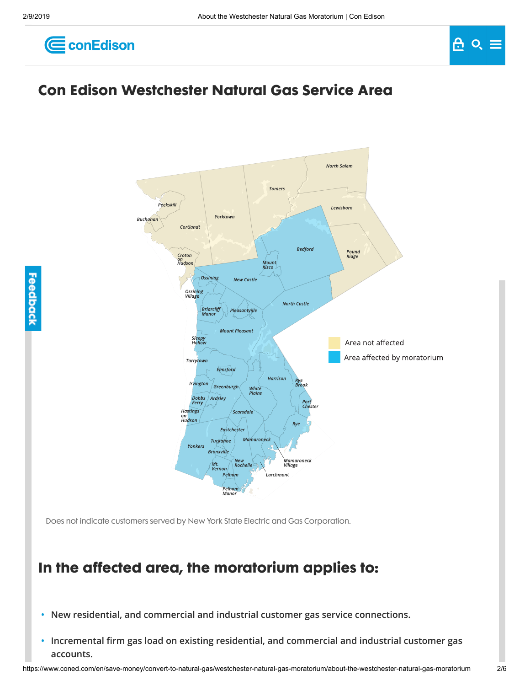



## **Con Edison Westchester Natural Gas Service Area**



Does not indicate customers served by New York State Electric and Gas Corporation.

### **In the affected area, the moratorium applies to:**

- **• New residential, and commercial and industrial customer gas service connections.**
- Incremental firm gas load on existing residential, and commercial and industrial customer gas **accounts.**